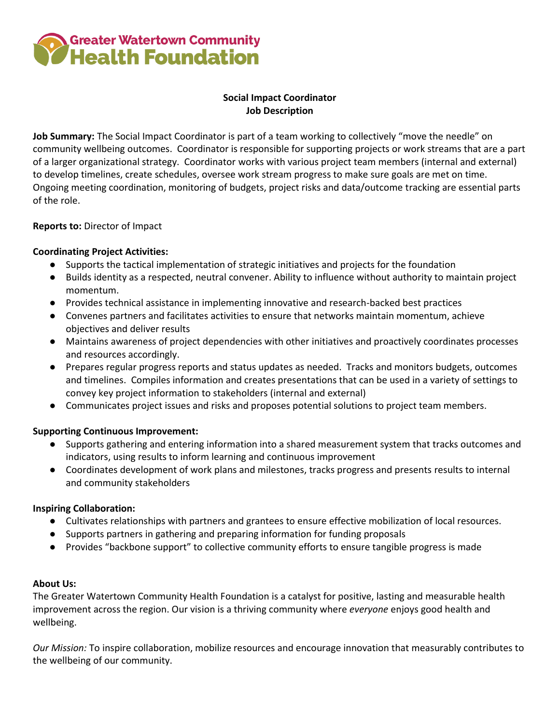

## **Social Impact Coordinator Job Description**

**Job Summary:** The Social Impact Coordinator is part of a team working to collectively "move the needle" on community wellbeing outcomes. Coordinator is responsible for supporting projects or work streams that are a part of a larger organizational strategy. Coordinator works with various project team members (internal and external) to develop timelines, create schedules, oversee work stream progress to make sure goals are met on time. Ongoing meeting coordination, monitoring of budgets, project risks and data/outcome tracking are essential parts of the role.

## **Reports to:** Director of Impact

#### **Coordinating Project Activities:**

- Supports the tactical implementation of strategic initiatives and projects for the foundation
- Builds identity as a respected, neutral convener. Ability to influence without authority to maintain project momentum.
- Provides technical assistance in implementing innovative and research-backed best practices
- Convenes partners and facilitates activities to ensure that networks maintain momentum, achieve objectives and deliver results
- Maintains awareness of project dependencies with other initiatives and proactively coordinates processes and resources accordingly.
- Prepares regular progress reports and status updates as needed. Tracks and monitors budgets, outcomes and timelines. Compiles information and creates presentations that can be used in a variety of settings to convey key project information to stakeholders (internal and external)
- Communicates project issues and risks and proposes potential solutions to project team members.

#### **Supporting Continuous Improvement:**

- Supports gathering and entering information into a shared measurement system that tracks outcomes and indicators, using results to inform learning and continuous improvement
- Coordinates development of work plans and milestones, tracks progress and presents results to internal and community stakeholders

#### **Inspiring Collaboration:**

- Cultivates relationships with partners and grantees to ensure effective mobilization of local resources.
- Supports partners in gathering and preparing information for funding proposals
- Provides "backbone support" to collective community efforts to ensure tangible progress is made

#### **About Us:**

The Greater Watertown Community Health Foundation is a catalyst for positive, lasting and measurable health improvement across the region. Our vision is a thriving community where *everyone* enjoys good health and wellbeing.

*Our Mission:* To inspire collaboration, mobilize resources and encourage innovation that measurably contributes to the wellbeing of our community.